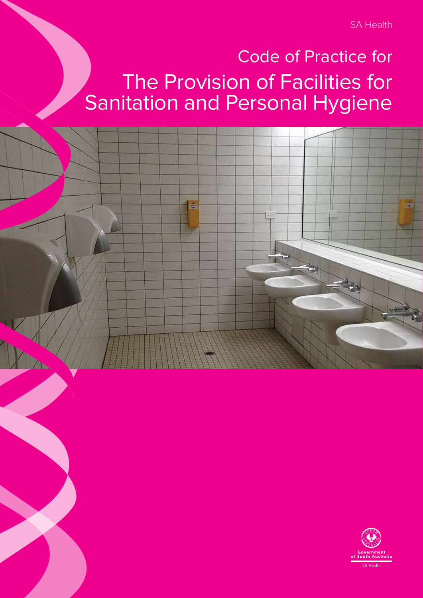SA Health

# Code of Practice for The Provision of Facilities for Sanitation and Personal Hygiene



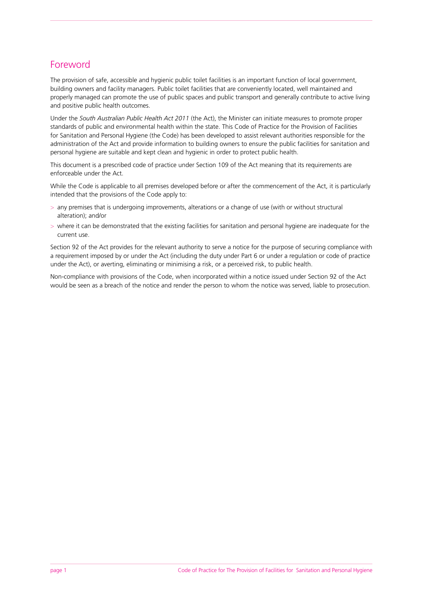# Foreword

The provision of safe, accessible and hygienic public toilet facilities is an important function of local government, building owners and facility managers. Public toilet facilities that are conveniently located, well maintained and properly managed can promote the use of public spaces and public transport and generally contribute to active living and positive public health outcomes.

Under the *South Australian Public Health Act 2011* (the Act), the Minister can initiate measures to promote proper standards of public and environmental health within the state. This Code of Practice for the Provision of Facilities for Sanitation and Personal Hygiene (the Code) has been developed to assist relevant authorities responsible for the administration of the Act and provide information to building owners to ensure the public facilities for sanitation and personal hygiene are suitable and kept clean and hygienic in order to protect public health.

This document is a prescribed code of practice under Section 109 of the Act meaning that its requirements are enforceable under the Act.

While the Code is applicable to all premises developed before or after the commencement of the Act, it is particularly intended that the provisions of the Code apply to:

- > any premises that is undergoing improvements, alterations or a change of use (with or without structural alteration); and/or
- > where it can be demonstrated that the existing facilities for sanitation and personal hygiene are inadequate for the current use.

Section 92 of the Act provides for the relevant authority to serve a notice for the purpose of securing compliance with a requirement imposed by or under the Act (including the duty under Part 6 or under a regulation or code of practice under the Act), or averting, eliminating or minimising a risk, or a perceived risk, to public health.

Non-compliance with provisions of the Code, when incorporated within a notice issued under Section 92 of the Act would be seen as a breach of the notice and render the person to whom the notice was served, liable to prosecution.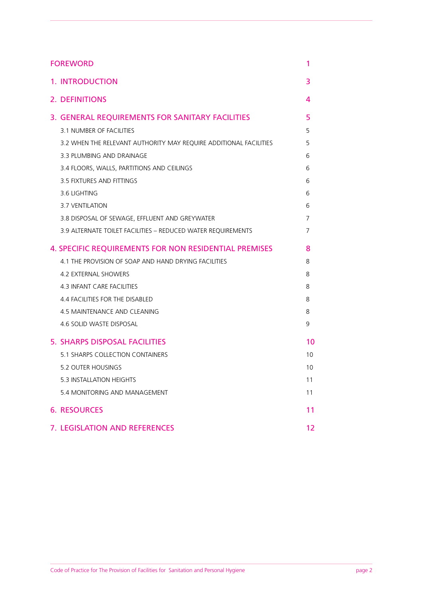| <b>FOREWORD</b>                                                   | 1  |
|-------------------------------------------------------------------|----|
| <b>1. INTRODUCTION</b>                                            | 3  |
| <b>2. DEFINITIONS</b>                                             | 4  |
| 3. GENERAL REQUIREMENTS FOR SANITARY FACILITIES                   | 5  |
| 3.1 NUMBER OF FACILITIES                                          | 5  |
| 3.2 WHEN THE RELEVANT AUTHORITY MAY REQUIRE ADDITIONAL FACILITIES | 5  |
| 3.3 PLUMBING AND DRAINAGE                                         | 6  |
| 3.4 FLOORS, WALLS, PARTITIONS AND CEILINGS                        | 6  |
| 3.5 FIXTURES AND FITTINGS                                         | 6  |
| 3.6 LIGHTING                                                      | 6  |
| 3.7 VENTILATION                                                   | 6  |
| 3.8 DISPOSAL OF SEWAGE, EFFLUENT AND GREYWATER                    | 7  |
| 3.9 ALTERNATE TOILET FACILITIES - REDUCED WATER REQUIREMENTS      | 7  |
| <b>4. SPECIFIC REQUIREMENTS FOR NON RESIDENTIAL PREMISES</b>      | 8  |
| 4.1 THE PROVISION OF SOAP AND HAND DRYING FACILITIES              | 8  |
| <b>4.2 EXTERNAL SHOWERS</b>                                       | 8  |
| <b>4.3 INFANT CARE FACILITIES</b>                                 | 8  |
| 4.4 FACILITIES FOR THE DISABLED                                   | 8  |
| 4.5 MAINTENANCE AND CLEANING                                      | 8  |
| 4.6 SOLID WASTE DISPOSAL                                          | 9  |
| 5. SHARPS DISPOSAL FACILITIES                                     | 10 |
| <b>5.1 SHARPS COLLECTION CONTAINERS</b>                           | 10 |
| 5.2 OUTER HOUSINGS                                                | 10 |
| 5.3 INSTALLATION HEIGHTS                                          | 11 |
| 5.4 MONITORING AND MANAGEMENT                                     | 11 |
| <b>6. RESOURCES</b>                                               | 11 |
| 7. LEGISLATION AND REFERENCES                                     | 12 |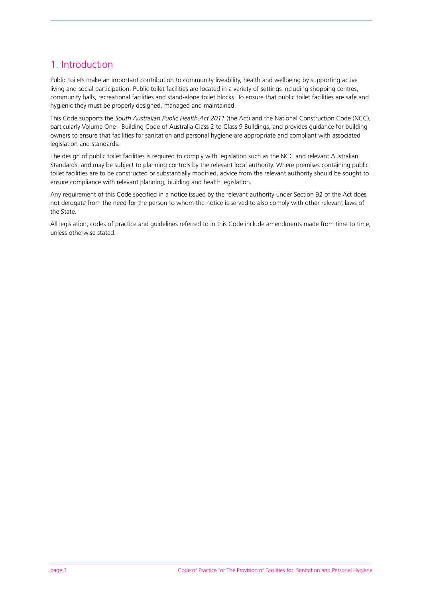# 1. Introduction

Public toilets make an important contribution to community liveability, health and wellbeing by supporting active living and social participation. Public toilet facilities are located in a variety of settings including shopping centres, community halls, recreational facilities and stand-alone toilet blocks. To ensure that public toilet facilities are safe and hygienic they must be properly designed, managed and maintained.

This Code supports the *South Australian Public Health Act 2011* (the Act) and the National Construction Code (NCC), particularly Volume One - Building Code of Australia Class 2 to Class 9 Buildings, and provides guidance for building owners to ensure that facilities for sanitation and personal hygiene are appropriate and compliant with associated legislation and standards.

The design of public toilet facilities is required to comply with legislation such as the NCC and relevant Australian Standards, and may be subject to planning controls by the relevant local authority. Where premises containing public toilet facilities are to be constructed or substantially modified, advice from the relevant authority should be sought to ensure compliance with relevant planning, building and health legislation.

Any requirement of this Code specified in a notice issued by the relevant authority under Section 92 of the Act does not derogate from the need for the person to whom the notice is served to also comply with other relevant laws of the State.

All legislation, codes of practice and guidelines referred to in this Code include amendments made from time to time, unless otherwise stated.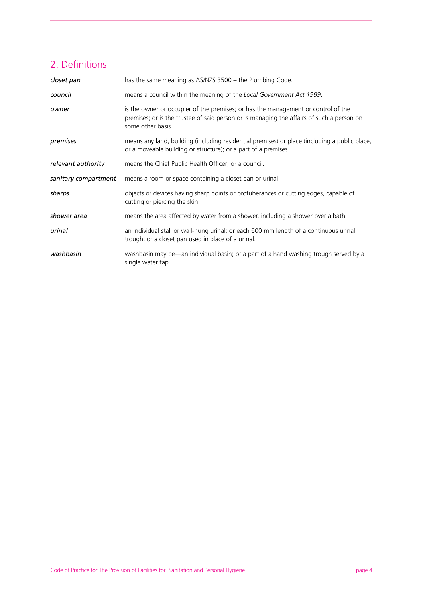# 2. Definitions

| closet pan           | has the same meaning as AS/NZS 3500 – the Plumbing Code.                                                                                                                                            |
|----------------------|-----------------------------------------------------------------------------------------------------------------------------------------------------------------------------------------------------|
| council              | means a council within the meaning of the Local Government Act 1999.                                                                                                                                |
| owner                | is the owner or occupier of the premises; or has the management or control of the<br>premises; or is the trustee of said person or is managing the affairs of such a person on<br>some other basis. |
| premises             | means any land, building (including residential premises) or place (including a public place,<br>or a moveable building or structure); or a part of a premises.                                     |
| relevant authority   | means the Chief Public Health Officer; or a council.                                                                                                                                                |
|                      |                                                                                                                                                                                                     |
| sanitary compartment | means a room or space containing a closet pan or urinal.                                                                                                                                            |
| sharps               | objects or devices having sharp points or protuberances or cutting edges, capable of<br>cutting or piercing the skin.                                                                               |
| shower area          | means the area affected by water from a shower, including a shower over a bath.                                                                                                                     |
| urinal               | an individual stall or wall-hung urinal; or each 600 mm length of a continuous urinal<br>trough; or a closet pan used in place of a urinal.                                                         |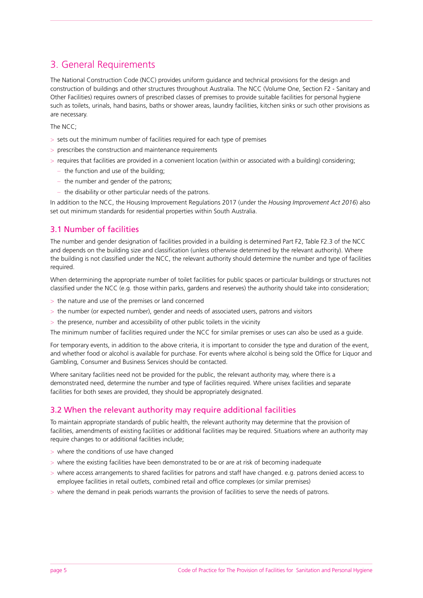# 3. General Requirements

The National Construction Code (NCC) provides uniform guidance and technical provisions for the design and construction of buildings and other structures throughout Australia. The NCC (Volume One, Section F2 - Sanitary and Other Facilities) requires owners of prescribed classes of premises to provide suitable facilities for personal hygiene such as toilets, urinals, hand basins, baths or shower areas, laundry facilities, kitchen sinks or such other provisions as are necessary.

The NCC;

- > sets out the minimum number of facilities required for each type of premises
- > prescribes the construction and maintenance requirements
- > requires that facilities are provided in a convenient location (within or associated with a building) considering;
	- the function and use of the building;
	- the number and gender of the patrons;
	- the disability or other particular needs of the patrons.

In addition to the NCC, the Housing Improvement Regulations 2017 (under the *Housing Improvement Act 2016*) also set out minimum standards for residential properties within South Australia.

## 3.1 Number of facilities

The number and gender designation of facilities provided in a building is determined Part F2, Table F2.3 of the NCC and depends on the building size and classification (unless otherwise determined by the relevant authority). Where the building is not classified under the NCC, the relevant authority should determine the number and type of facilities required.

When determining the appropriate number of toilet facilities for public spaces or particular buildings or structures not classified under the NCC (e.g. those within parks, gardens and reserves) the authority should take into consideration;

- > the nature and use of the premises or land concerned
- > the number (or expected number), gender and needs of associated users, patrons and visitors
- > the presence, number and accessibility of other public toilets in the vicinity

The minimum number of facilities required under the NCC for similar premises or uses can also be used as a guide.

For temporary events, in addition to the above criteria, it is important to consider the type and duration of the event, and whether food or alcohol is available for purchase. For events where alcohol is being sold the Office for Liquor and Gambling, Consumer and Business Services should be contacted.

Where sanitary facilities need not be provided for the public, the relevant authority may, where there is a demonstrated need, determine the number and type of facilities required. Where unisex facilities and separate facilities for both sexes are provided, they should be appropriately designated.

#### 3.2 When the relevant authority may require additional facilities

To maintain appropriate standards of public health, the relevant authority may determine that the provision of facilities, amendments of existing facilities or additional facilities may be required. Situations where an authority may require changes to or additional facilities include;

- > where the conditions of use have changed
- > where the existing facilities have been demonstrated to be or are at risk of becoming inadequate
- > where access arrangements to shared facilities for patrons and staff have changed. e.g. patrons denied access to employee facilities in retail outlets, combined retail and office complexes (or similar premises)
- > where the demand in peak periods warrants the provision of facilities to serve the needs of patrons.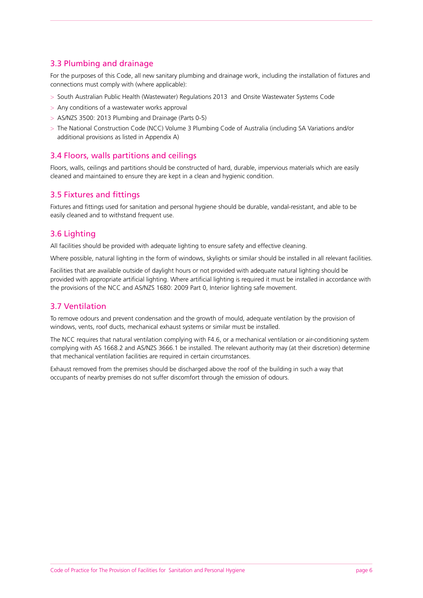# 3.3 Plumbing and drainage

For the purposes of this Code, all new sanitary plumbing and drainage work, including the installation of fixtures and connections must comply with (where applicable):

- > South Australian Public Health (Wastewater) Regulations 2013 and Onsite Wastewater Systems Code
- > Any conditions of a wastewater works approval
- > AS/NZS 3500: 2013 Plumbing and Drainage (Parts 0-5)
- > The National Construction Code (NCC) Volume 3 Plumbing Code of Australia (including SA Variations and/or additional provisions as listed in Appendix A)

## 3.4 Floors, walls partitions and ceilings

Floors, walls, ceilings and partitions should be constructed of hard, durable, impervious materials which are easily cleaned and maintained to ensure they are kept in a clean and hygienic condition.

## 3.5 Fixtures and fittings

Fixtures and fittings used for sanitation and personal hygiene should be durable, vandal-resistant, and able to be easily cleaned and to withstand frequent use.

#### 3.6 Lighting

All facilities should be provided with adequate lighting to ensure safety and effective cleaning.

Where possible, natural lighting in the form of windows, skylights or similar should be installed in all relevant facilities.

Facilities that are available outside of daylight hours or not provided with adequate natural lighting should be provided with appropriate artificial lighting. Where artificial lighting is required it must be installed in accordance with the provisions of the NCC and AS/NZS 1680: 2009 Part 0, Interior lighting safe movement.

#### 3.7 Ventilation

To remove odours and prevent condensation and the growth of mould, adequate ventilation by the provision of windows, vents, roof ducts, mechanical exhaust systems or similar must be installed.

The NCC requires that natural ventilation complying with F4.6, or a mechanical ventilation or air-conditioning system complying with AS 1668.2 and AS/NZS 3666.1 be installed. The relevant authority may (at their discretion) determine that mechanical ventilation facilities are required in certain circumstances.

Exhaust removed from the premises should be discharged above the roof of the building in such a way that occupants of nearby premises do not suffer discomfort through the emission of odours.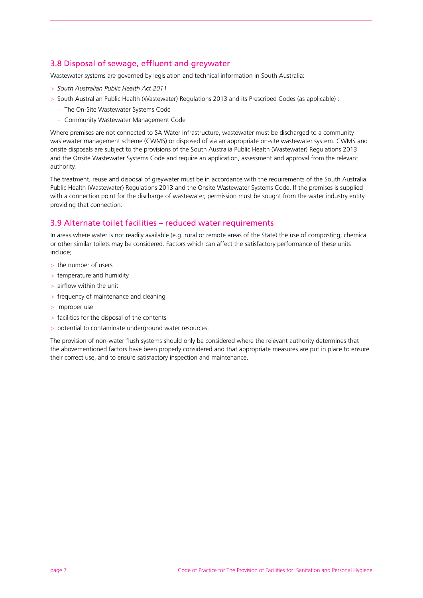# 3.8 Disposal of sewage, effluent and greywater

Wastewater systems are governed by legislation and technical information in South Australia:

- > *South Australian Public Health Act 2011*
- > South Australian Public Health (Wastewater) Regulations 2013 and its Prescribed Codes (as applicable) :
	- The On-Site Wastewater Systems Code
	- Community Wastewater Management Code

Where premises are not connected to SA Water infrastructure, wastewater must be discharged to a community wastewater management scheme (CWMS) or disposed of via an appropriate on-site wastewater system. CWMS and onsite disposals are subject to the provisions of the South Australia Public Health (Wastewater) Regulations 2013 and the Onsite Wastewater Systems Code and require an application, assessment and approval from the relevant authority.

The treatment, reuse and disposal of greywater must be in accordance with the requirements of the South Australia Public Health (Wastewater) Regulations 2013 and the Onsite Wastewater Systems Code. If the premises is supplied with a connection point for the discharge of wastewater, permission must be sought from the water industry entity providing that connection.

#### 3.9 Alternate toilet facilities – reduced water requirements

In areas where water is not readily available (e.g. rural or remote areas of the State) the use of composting, chemical or other similar toilets may be considered. Factors which can affect the satisfactory performance of these units include;

- > the number of users
- > temperature and humidity
- > airflow within the unit
- > frequency of maintenance and cleaning
- > improper use
- > facilities for the disposal of the contents
- > potential to contaminate underground water resources.

The provision of non-water flush systems should only be considered where the relevant authority determines that the abovementioned factors have been properly considered and that appropriate measures are put in place to ensure their correct use, and to ensure satisfactory inspection and maintenance.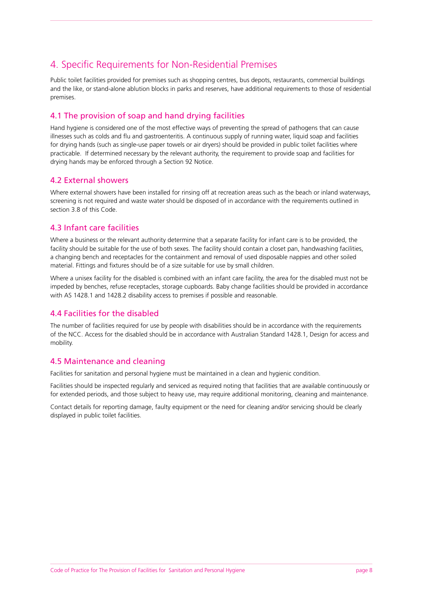# 4. Specific Requirements for Non-Residential Premises

Public toilet facilities provided for premises such as shopping centres, bus depots, restaurants, commercial buildings and the like, or stand-alone ablution blocks in parks and reserves, have additional requirements to those of residential premises.

## 4.1 The provision of soap and hand drying facilities

Hand hygiene is considered one of the most effective ways of preventing the spread of pathogens that can cause illnesses such as colds and flu and gastroenteritis. A continuous supply of running water, liquid soap and facilities for drying hands (such as single-use paper towels or air dryers) should be provided in public toilet facilities where practicable. If determined necessary by the relevant authority, the requirement to provide soap and facilities for drying hands may be enforced through a Section 92 Notice.

## 4.2 External showers

Where external showers have been installed for rinsing off at recreation areas such as the beach or inland waterways, screening is not required and waste water should be disposed of in accordance with the requirements outlined in section 3.8 of this Code.

## 4.3 Infant care facilities

Where a business or the relevant authority determine that a separate facility for infant care is to be provided, the facility should be suitable for the use of both sexes. The facility should contain a closet pan, handwashing facilities, a changing bench and receptacles for the containment and removal of used disposable nappies and other soiled material. Fittings and fixtures should be of a size suitable for use by small children.

Where a unisex facility for the disabled is combined with an infant care facility, the area for the disabled must not be impeded by benches, refuse receptacles, storage cupboards. Baby change facilities should be provided in accordance with AS 1428.1 and 1428.2 disability access to premises if possible and reasonable.

## 4.4 Facilities for the disabled

The number of facilities required for use by people with disabilities should be in accordance with the requirements of the NCC. Access for the disabled should be in accordance with Australian Standard 1428.1, Design for access and mobility.

#### 4.5 Maintenance and cleaning

Facilities for sanitation and personal hygiene must be maintained in a clean and hygienic condition.

Facilities should be inspected regularly and serviced as required noting that facilities that are available continuously or for extended periods, and those subject to heavy use, may require additional monitoring, cleaning and maintenance.

Contact details for reporting damage, faulty equipment or the need for cleaning and/or servicing should be clearly displayed in public toilet facilities.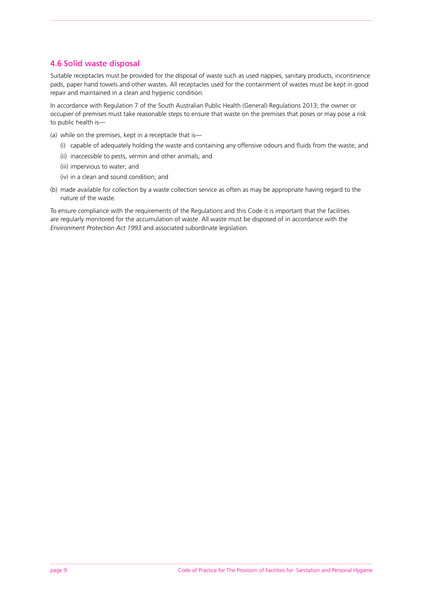## 4.6 Solid waste disposal

Suitable receptacles must be provided for the disposal of waste such as used nappies, sanitary products, incontinence pads, paper hand towels and other wastes. All receptacles used for the containment of wastes must be kept in good repair and maintained in a clean and hygienic condition.

In accordance with Regulation 7 of the South Australian Public Health (General) Regulations 2013; the owner or occupier of premises must take reasonable steps to ensure that waste on the premises that poses or may pose a risk to public health is—

- (a) while on the premises, kept in a receptacle that is—
	- (i) capable of adequately holding the waste and containing any offensive odours and fluids from the waste; and
	- (ii) inaccessible to pests, vermin and other animals; and
	- (iii) impervious to water; and
	- (iv) in a clean and sound condition; and
- (b) made available for collection by a waste collection service as often as may be appropriate having regard to the nature of the waste.

To ensure compliance with the requirements of the Regulations and this Code it is important that the facilities are regularly monitored for the accumulation of waste. All waste must be disposed of in accordance with the *Environment Protection Act 1993* and associated subordinate legislation.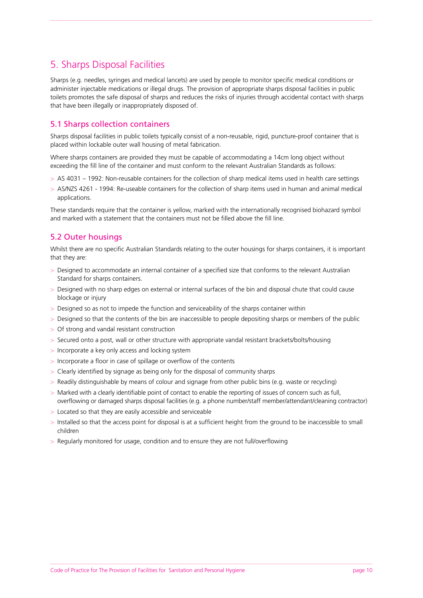# 5. Sharps Disposal Facilities

Sharps (e.g. needles, syringes and medical lancets) are used by people to monitor specific medical conditions or administer injectable medications or illegal drugs. The provision of appropriate sharps disposal facilities in public toilets promotes the safe disposal of sharps and reduces the risks of injuries through accidental contact with sharps that have been illegally or inappropriately disposed of.

## 5.1 Sharps collection containers

Sharps disposal facilities in public toilets typically consist of a non-reusable, rigid, puncture-proof container that is placed within lockable outer wall housing of metal fabrication.

Where sharps containers are provided they must be capable of accommodating a 14cm long object without exceeding the fill line of the container and must conform to the relevant Australian Standards as follows:

- > AS 4031 1992: Non-reusable containers for the collection of sharp medical items used in health care settings
- > AS/NZS 4261 1994: Re-useable containers for the collection of sharp items used in human and animal medical applications.

These standards require that the container is yellow, marked with the internationally recognised biohazard symbol and marked with a statement that the containers must not be filled above the fill line.

## 5.2 Outer housings

Whilst there are no specific Australian Standards relating to the outer housings for sharps containers, it is important that they are:

- > Designed to accommodate an internal container of a specified size that conforms to the relevant Australian Standard for sharps containers.
- > Designed with no sharp edges on external or internal surfaces of the bin and disposal chute that could cause blockage or injury
- > Designed so as not to impede the function and serviceability of the sharps container within
- > Designed so that the contents of the bin are inaccessible to people depositing sharps or members of the public
- > Of strong and vandal resistant construction
- > Secured onto a post, wall or other structure with appropriate vandal resistant brackets/bolts/housing
- > Incorporate a key only access and locking system
- > Incorporate a floor in case of spillage or overflow of the contents
- > Clearly identified by signage as being only for the disposal of community sharps
- > Readily distinguishable by means of colour and signage from other public bins (e.g. waste or recycling)
- > Marked with a clearly identifiable point of contact to enable the reporting of issues of concern such as full, overflowing or damaged sharps disposal facilities (e.g. a phone number/staff member/attendant/cleaning contractor)
- > Located so that they are easily accessible and serviceable
- > Installed so that the access point for disposal is at a sufficient height from the ground to be inaccessible to small children
- > Regularly monitored for usage, condition and to ensure they are not full/overflowing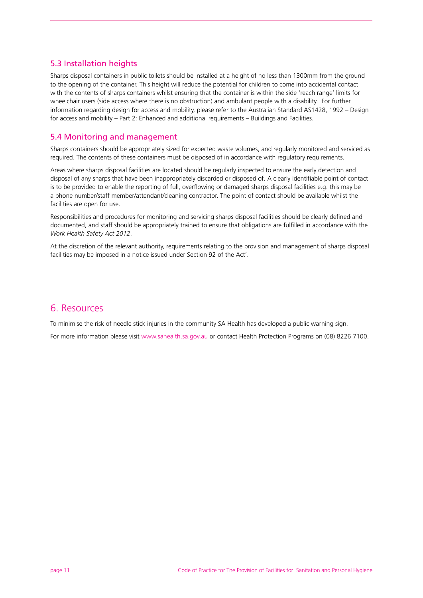# 5.3 Installation heights

Sharps disposal containers in public toilets should be installed at a height of no less than 1300mm from the ground to the opening of the container. This height will reduce the potential for children to come into accidental contact with the contents of sharps containers whilst ensuring that the container is within the side 'reach range' limits for wheelchair users (side access where there is no obstruction) and ambulant people with a disability. For further information regarding design for access and mobility, please refer to the Australian Standard AS1428, 1992 – Design for access and mobility – Part 2: Enhanced and additional requirements – Buildings and Facilities.

## 5.4 Monitoring and management

Sharps containers should be appropriately sized for expected waste volumes, and regularly monitored and serviced as required. The contents of these containers must be disposed of in accordance with regulatory requirements.

Areas where sharps disposal facilities are located should be regularly inspected to ensure the early detection and disposal of any sharps that have been inappropriately discarded or disposed of. A clearly identifiable point of contact is to be provided to enable the reporting of full, overflowing or damaged sharps disposal facilities e.g. this may be a phone number/staff member/attendant/cleaning contractor. The point of contact should be available whilst the facilities are open for use.

Responsibilities and procedures for monitoring and servicing sharps disposal facilities should be clearly defined and documented, and staff should be appropriately trained to ensure that obligations are fulfilled in accordance with the *Work Health Safety Act 2012*.

At the discretion of the relevant authority, requirements relating to the provision and management of sharps disposal facilities may be imposed in a notice issued under Section 92 of the Act'.

# 6. Resources

To minimise the risk of needle stick injuries in the community SA Health has developed a public warning sign.

For more information please visit [www.sahealth.sa.gov.au](http://www.sahealth.sa.gov.au) or contact Health Protection Programs on (08) 8226 7100.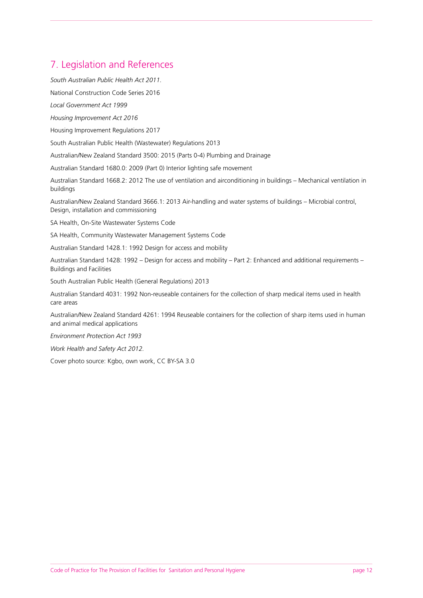# 7. Legislation and References

*South Australian Public Health Act 2011.*

National Construction Code Series 2016

*Local Government Act 1999*

*Housing Improvement Act 2016* 

Housing Improvement Regulations 2017

South Australian Public Health (Wastewater) Regulations 2013

Australian/New Zealand Standard 3500: 2015 (Parts 0-4) Plumbing and Drainage

Australian Standard 1680.0: 2009 (Part 0) Interior lighting safe movement

Australian Standard 1668.2: 2012 The use of ventilation and airconditioning in buildings – Mechanical ventilation in buildings

Australian/New Zealand Standard 3666.1: 2013 Air-handling and water systems of buildings – Microbial control, Design, installation and commissioning

SA Health, On-Site Wastewater Systems Code

SA Health, Community Wastewater Management Systems Code

Australian Standard 1428.1: 1992 Design for access and mobility

Australian Standard 1428: 1992 – Design for access and mobility – Part 2: Enhanced and additional requirements – Buildings and Facilities

South Australian Public Health (General Regulations) 2013

Australian Standard 4031: 1992 Non-reuseable containers for the collection of sharp medical items used in health care areas

Australian/New Zealand Standard 4261: 1994 Reuseable containers for the collection of sharp items used in human and animal medical applications

*Environment Protection Act 1993*

*Work Health and Safety Act 2012.*

Cover photo source: Kgbo, own work, CC BY-SA 3.0